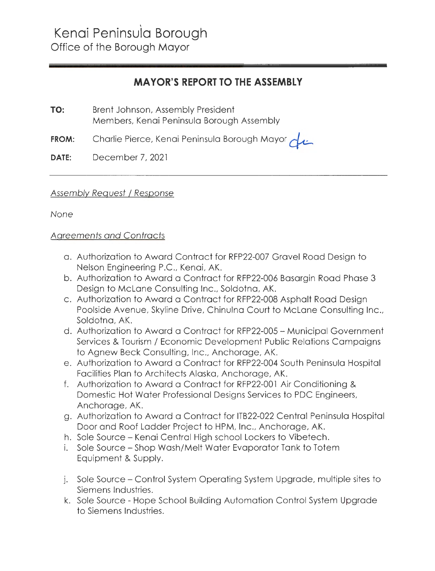## **MAYOR'S REPORT TO THE ASSEMBLY**

**TO:** Brent Johnson, Assembly President Members, Kenai Peninsula Borough Assembly

**FROM:** Charlie Pierce, Kenai Peninsula Borough Mayor *olu* 

**DATE:** December 7, 2021

## Assembly Request / Response

None

## Agreements and Contracts

- a. Authorization to Award Contract for RFP22-007 Gravel Road Design to Nelson Engineering P.C., Kenai, AK.
- b. Authorization to Award a Contract for RFP22-006 Basargin Road Phase 3 Design to Mclane Consulting Inc., Soldotna, AK.
- c. Authorization to Award a Contract for RFP22-008 Asphalt Road Design Poolside Avenue, Skyline Drive, Chinulna Court to Mclane Consulting Inc., Soldotna, AK.
- d. Authorization to Award a Contract for RFP22-005 Municipal Government Services & Tourism / Economic Development Public Relations Campaigns to Agnew Beck Consulting, Inc., Anchorage, AK.
- e. Authorization to Award a Contract for RFP22-004 South Peninsula Hospital Facilities Plan to Architects Alaska, Anchorage, AK.
- f. Authorization to Award a Contract for RFP22-001 Air Conditioning & Domestic Hot Water Professional Designs Services to PDC Engineers, Anchorage, AK.
- g. Authorization to Award a Contract for ITB22-022 Central Peninsula Hospital Door and Roof Ladder Project to HPM, Inc., Anchorage, AK.
- h. Sole Source Kenai Central High school Lockers to Vibetech.
- i. Sole Source Shop Wash/Melt Water Evaporator Tank to Totem Equipment & Supply.
- j. Sole Source Control System Operating System Upgrade, multiple sites to Siemens Industries.
- k. Sole Source Hope School Building Automation Control System Upgrade to Siemens Industries.